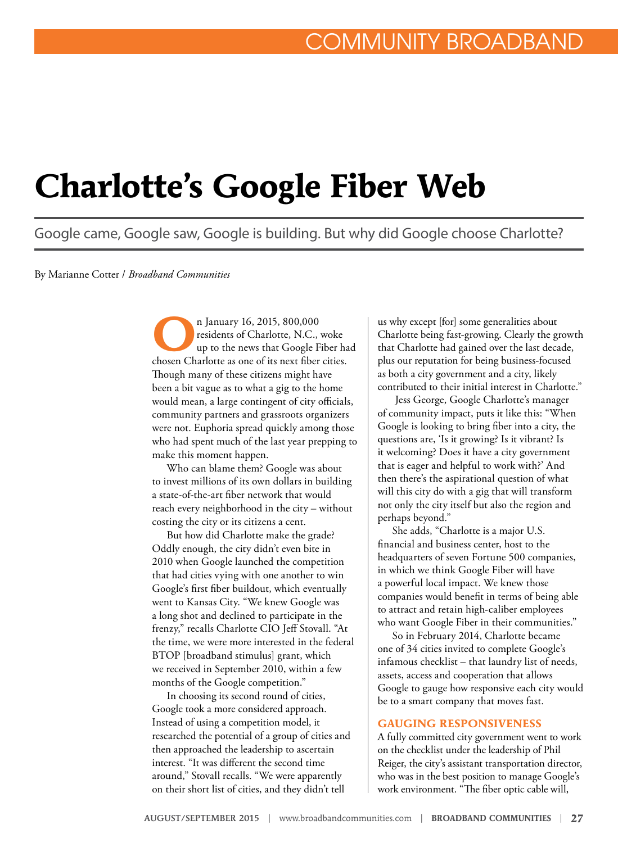# **Charlotte's Google Fiber Web**

Google came, Google saw, Google is building. But why did Google choose Charlotte?

By Marianne Cotter / *Broadband Communities*

In January 16, 2015, 800,000<br>
residents of Charlotte, N.C., by the news that Google F residents of Charlotte, N.C., woke up to the news that Google Fiber had chosen Charlotte as one of its next fiber cities. Though many of these citizens might have been a bit vague as to what a gig to the home would mean, a large contingent of city officials, community partners and grassroots organizers were not. Euphoria spread quickly among those who had spent much of the last year prepping to make this moment happen.

Who can blame them? Google was about to invest millions of its own dollars in building a state-of-the-art fiber network that would reach every neighborhood in the city – without costing the city or its citizens a cent.

But how did Charlotte make the grade? Oddly enough, the city didn't even bite in 2010 when Google launched the competition that had cities vying with one another to win Google's first fiber buildout, which eventually went to Kansas City. "We knew Google was a long shot and declined to participate in the frenzy," recalls Charlotte CIO Jeff Stovall. "At the time, we were more interested in the federal BTOP [broadband stimulus] grant, which we received in September 2010, within a few months of the Google competition."

In choosing its second round of cities, Google took a more considered approach. Instead of using a competition model, it researched the potential of a group of cities and then approached the leadership to ascertain interest. "It was different the second time around," Stovall recalls. "We were apparently on their short list of cities, and they didn't tell

us why except [for] some generalities about Charlotte being fast-growing. Clearly the growth that Charlotte had gained over the last decade, plus our reputation for being business-focused as both a city government and a city, likely contributed to their initial interest in Charlotte."

 Jess George, Google Charlotte's manager of community impact, puts it like this: "When Google is looking to bring fiber into a city, the questions are, 'Is it growing? Is it vibrant? Is it welcoming? Does it have a city government that is eager and helpful to work with?' And then there's the aspirational question of what will this city do with a gig that will transform not only the city itself but also the region and perhaps beyond."

She adds, "Charlotte is a major U.S. financial and business center, host to the headquarters of seven Fortune 500 companies, in which we think Google Fiber will have a powerful local impact. We knew those companies would benefit in terms of being able to attract and retain high-caliber employees who want Google Fiber in their communities."

So in February 2014, Charlotte became one of 34 cities invited to complete Google's infamous checklist – that laundry list of needs, assets, access and cooperation that allows Google to gauge how responsive each city would be to a smart company that moves fast.

### **GAUGING RESPONSIVENESS**

A fully committed city government went to work on the checklist under the leadership of Phil Reiger, the city's assistant transportation director, who was in the best position to manage Google's work environment. "The fiber optic cable will,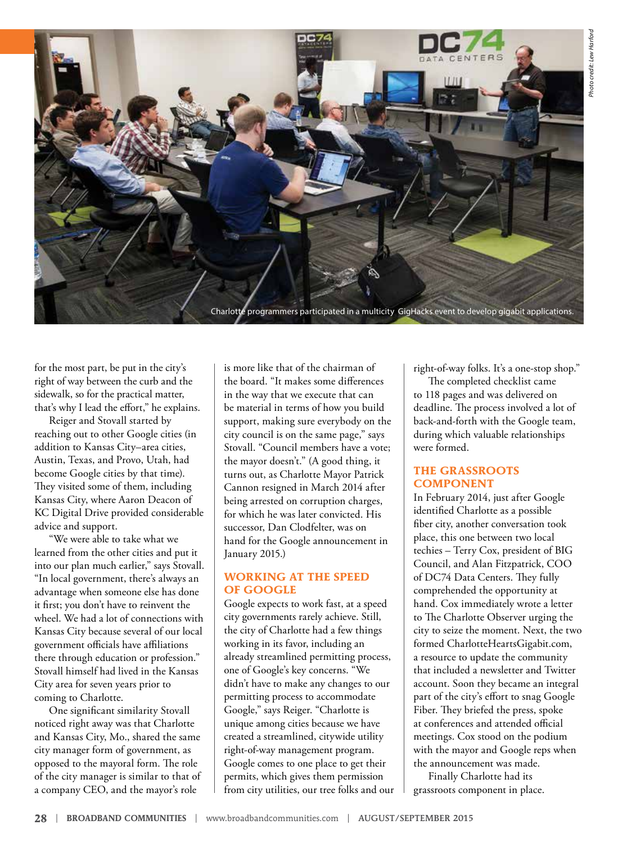

for the most part, be put in the city's right of way between the curb and the sidewalk, so for the practical matter, that's why I lead the effort," he explains.

Reiger and Stovall started by reaching out to other Google cities (in addition to Kansas City–area cities, Austin, Texas, and Provo, Utah, had become Google cities by that time). They visited some of them, including Kansas City, where Aaron Deacon of KC Digital Drive provided considerable advice and support.

"We were able to take what we learned from the other cities and put it into our plan much earlier," says Stovall. "In local government, there's always an advantage when someone else has done it first; you don't have to reinvent the wheel. We had a lot of connections with Kansas City because several of our local government officials have affiliations there through education or profession." Stovall himself had lived in the Kansas City area for seven years prior to coming to Charlotte.

One significant similarity Stovall noticed right away was that Charlotte and Kansas City, Mo., shared the same city manager form of government, as opposed to the mayoral form. The role of the city manager is similar to that of a company CEO, and the mayor's role

is more like that of the chairman of the board. "It makes some differences in the way that we execute that can be material in terms of how you build support, making sure everybody on the city council is on the same page," says Stovall. "Council members have a vote; the mayor doesn't." (A good thing, it turns out, as Charlotte Mayor Patrick Cannon resigned in March 2014 after being arrested on corruption charges, for which he was later convicted. His successor, Dan Clodfelter, was on hand for the Google announcement in January 2015.)

### **WORKING AT THE SPEED OF GOOGLE**

Google expects to work fast, at a speed city governments rarely achieve. Still, the city of Charlotte had a few things working in its favor, including an already streamlined permitting process, one of Google's key concerns. "We didn't have to make any changes to our permitting process to accommodate Google," says Reiger. "Charlotte is unique among cities because we have created a streamlined, citywide utility right-of-way management program. Google comes to one place to get their permits, which gives them permission from city utilities, our tree folks and our right-of-way folks. It's a one-stop shop."

The completed checklist came to 118 pages and was delivered on deadline. The process involved a lot of back-and-forth with the Google team, during which valuable relationships were formed.

### **THE GRASSROOTS COMPONENT**

In February 2014, just after Google identified Charlotte as a possible fiber city, another conversation took place, this one between two local techies – Terry Cox, president of BIG Council, and Alan Fitzpatrick, COO of DC74 Data Centers. They fully comprehended the opportunity at hand. Cox immediately wrote a letter to The Charlotte Observer urging the city to seize the moment. Next, the two formed CharlotteHeartsGigabit.com, a resource to update the community that included a newsletter and Twitter account. Soon they became an integral part of the city's effort to snag Google Fiber. They briefed the press, spoke at conferences and attended official meetings. Cox stood on the podium with the mayor and Google reps when the announcement was made.

Finally Charlotte had its grassroots component in place.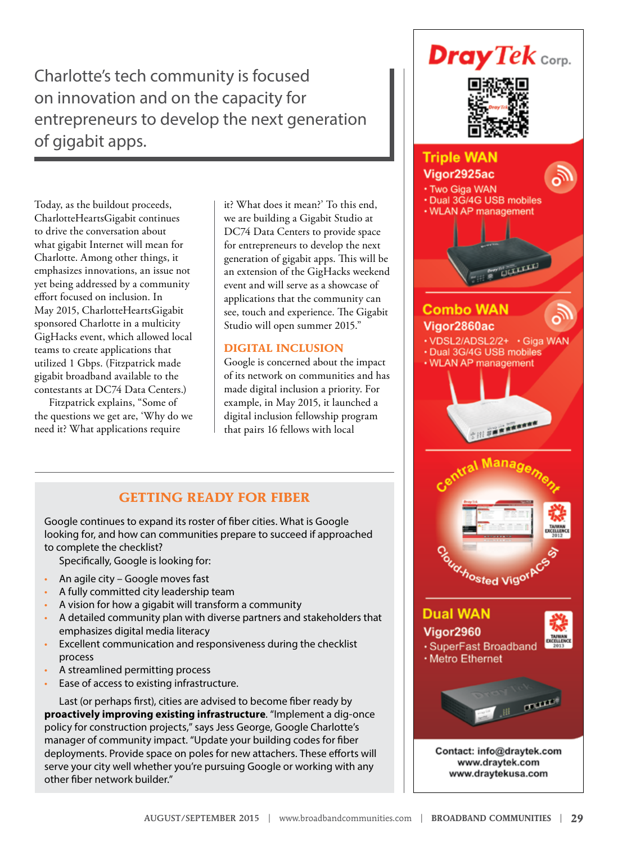Charlotte's tech community is focused on innovation and on the capacity for entrepreneurs to develop the next generation of gigabit apps.

Today, as the buildout proceeds, CharlotteHeartsGigabit continues to drive the conversation about what gigabit Internet will mean for Charlotte. Among other things, it emphasizes innovations, an issue not yet being addressed by a community effort focused on inclusion. In May 2015, CharlotteHeartsGigabit sponsored Charlotte in a multicity GigHacks event, which allowed local teams to create applications that utilized 1 Gbps. (Fitzpatrick made gigabit broadband available to the contestants at DC74 Data Centers.)

Fitzpatrick explains, "Some of the questions we get are, 'Why do we need it? What applications require

it? What does it mean?' To this end, we are building a Gigabit Studio at DC74 Data Centers to provide space for entrepreneurs to develop the next generation of gigabit apps. This will be an extension of the GigHacks weekend event and will serve as a showcase of applications that the community can see, touch and experience. The Gigabit Studio will open summer 2015."

### **DIGITAL INCLUSION**

Google is concerned about the impact of its network on communities and has made digital inclusion a priority. For example, in May 2015, it launched a digital inclusion fellowship program that pairs 16 fellows with local

# **GETTING READY FOR FIBER**

Google continues to expand its roster of fiber cities. What is Google looking for, and how can communities prepare to succeed if approached to complete the checklist?

Specifically, Google is looking for:

- An agile city Google moves fast
- A fully committed city leadership team
- A vision for how a gigabit will transform a community
- A detailed community plan with diverse partners and stakeholders that emphasizes digital media literacy
- Excellent communication and responsiveness during the checklist process
- A streamlined permitting process
- Ease of access to existing infrastructure.

Last (or perhaps first), cities are advised to become fiber ready by **proactively improving existing infrastructure**. "Implement a dig-once policy for construction projects," says Jess George, Google Charlotte's manager of community impact. "Update your building codes for fiber deployments. Provide space on poles for new attachers. These efforts will serve your city well whether you're pursuing Google or working with any other fiber network builder."

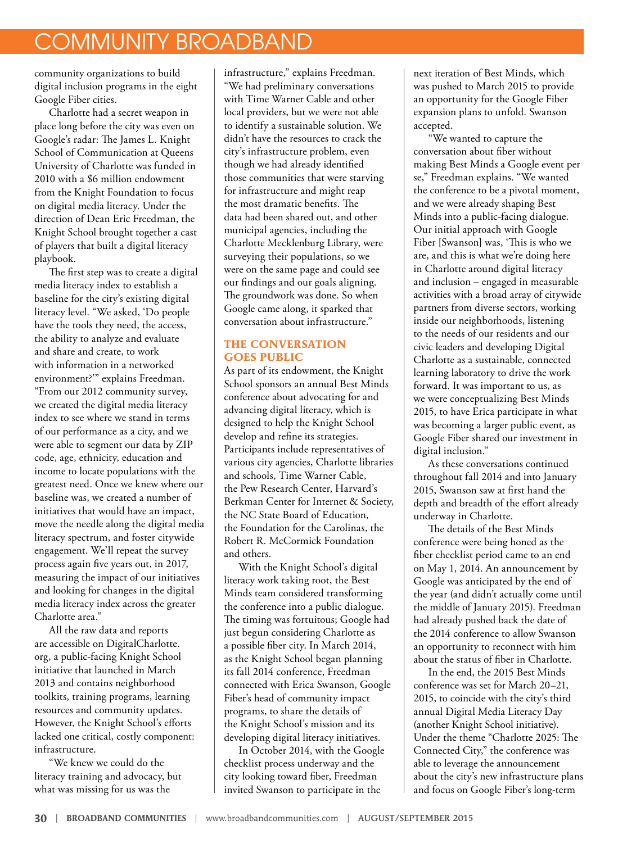# COMMUNITY BROADBAND

community organizations to build digital inclusion programs in the eight Google Fiber cities.

Charlotte had a secret weapon in place long before the city was even on Google's radar: The James L. Knight School of Communication at Queens University of Charlotte was funded in 2010 with a \$6 million endowment from the Knight Foundation to focus on digital media literacy. Under the direction of Dean Eric Freedman, the Knight School brought together a cast of players that built a digital literacy playbook.

The first step was to create a digital media literacy index to establish a baseline for the city's existing digital literacy level. "We asked, 'Do people have the tools they need, the access, the ability to analyze and evaluate and share and create, to work with information in a networked environment?'" explains Freedman. "From our 2012 community survey, we created the digital media literacy index to see where we stand in terms of our performance as a city, and we were able to segment our data by ZIP code, age, ethnicity, education and income to locate populations with the greatest need. Once we knew where our baseline was, we created a number of initiatives that would have an impact, move the needle along the digital media literacy spectrum, and foster citywide engagement. We'll repeat the survey process again five years out, in 2017, measuring the impact of our initiatives and looking for changes in the digital media literacy index across the greater Charlotte area."

All the raw data and reports are accessible on DigitalCharlotte. org, a public-facing Knight School initiative that launched in March 2013 and contains neighborhood toolkits, training programs, learning resources and community updates. However, the Knight School's efforts lacked one critical, costly component: infrastructure.

"We knew we could do the literacy training and advocacy, but what was missing for us was the

infrastructure," explains Freedman. "We had preliminary conversations with Time Warner Cable and other local providers, but we were not able to identify a sustainable solution. We didn't have the resources to crack the city's infrastructure problem, even though we had already identified those communities that were starving for infrastructure and might reap the most dramatic benefits. The data had been shared out, and other municipal agencies, including the Charlotte Mecklenburg Library, were surveying their populations, so we were on the same page and could see our findings and our goals aligning. The groundwork was done. So when Google came along, it sparked that conversation about infrastructure."

### **THE CONVERSATION GOES PUBLIC**

As part of its endowment, the Knight School sponsors an annual Best Minds conference about advocating for and advancing digital literacy, which is designed to help the Knight School develop and refine its strategies. Participants include representatives of various city agencies, Charlotte libraries and schools, Time Warner Cable, the Pew Research Center, Harvard's Berkman Center for Internet & Society, the NC State Board of Education, the Foundation for the Carolinas, the Robert R. McCormick Foundation and others.

With the Knight School's digital literacy work taking root, the Best Minds team considered transforming the conference into a public dialogue. The timing was fortuitous; Google had just begun considering Charlotte as a possible fiber city. In March 2014, as the Knight School began planning its fall 2014 conference, Freedman connected with Erica Swanson, Google Fiber's head of community impact programs, to share the details of the Knight School's mission and its developing digital literacy initiatives.

In October 2014, with the Google checklist process underway and the city looking toward fiber, Freedman invited Swanson to participate in the

next iteration of Best Minds, which was pushed to March 2015 to provide an opportunity for the Google Fiber expansion plans to unfold. Swanson accepted.

"We wanted to capture the conversation about fiber without making Best Minds a Google event per se," Freedman explains. "We wanted the conference to be a pivotal moment, and we were already shaping Best Minds into a public-facing dialogue. Our initial approach with Google Fiber [Swanson] was, 'This is who we are, and this is what we're doing here in Charlotte around digital literacy and inclusion – engaged in measurable activities with a broad array of citywide partners from diverse sectors, working inside our neighborhoods, listening to the needs of our residents and our civic leaders and developing Digital Charlotte as a sustainable, connected learning laboratory to drive the work forward. It was important to us, as we were conceptualizing Best Minds 2015, to have Erica participate in what was becoming a larger public event, as Google Fiber shared our investment in digital inclusion."

As these conversations continued throughout fall 2014 and into January 2015, Swanson saw at first hand the depth and breadth of the effort already underway in Charlotte.

The details of the Best Minds conference were being honed as the fiber checklist period came to an end on May 1, 2014. An announcement by Google was anticipated by the end of the year (and didn't actually come until the middle of January 2015). Freedman had already pushed back the date of the 2014 conference to allow Swanson an opportunity to reconnect with him about the status of fiber in Charlotte.

In the end, the 2015 Best Minds conference was set for March 20–21, 2015, to coincide with the city's third annual Digital Media Literacy Day (another Knight School initiative). Under the theme "Charlotte 2025: The Connected City," the conference was able to leverage the announcement about the city's new infrastructure plans and focus on Google Fiber's long-term